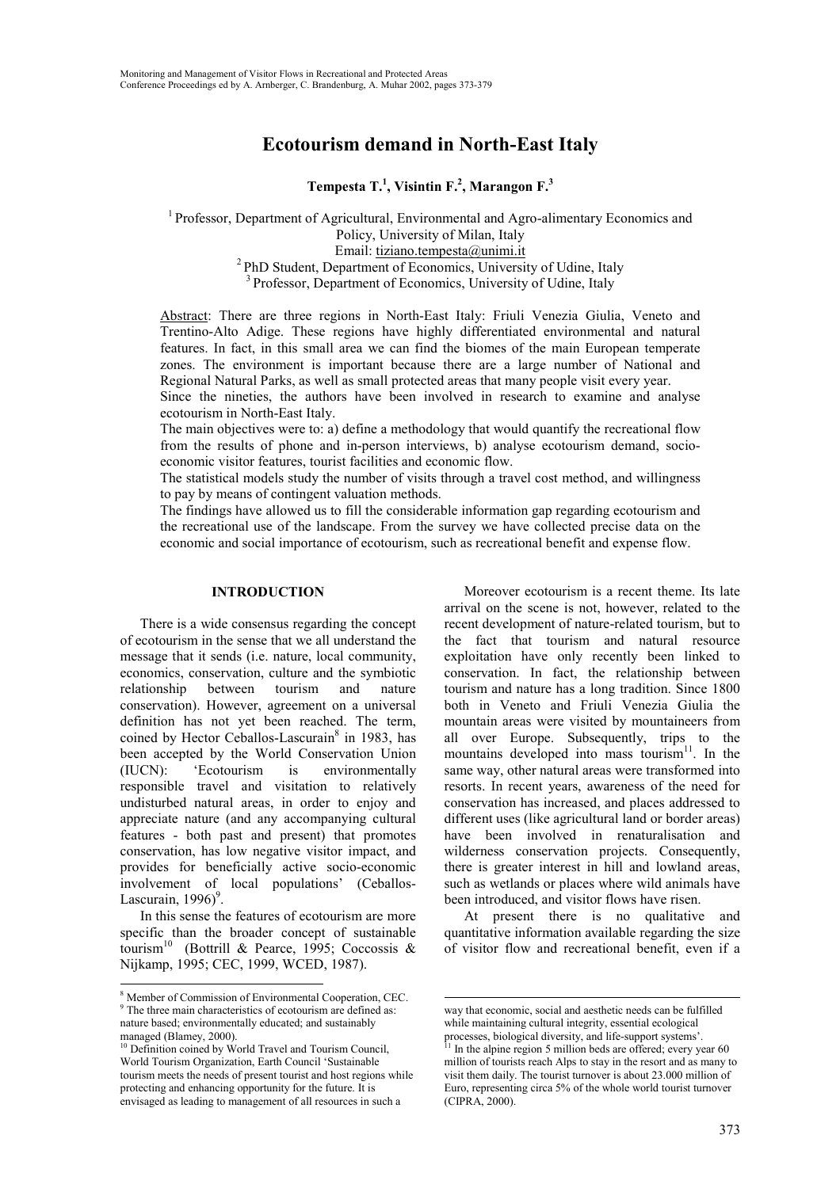# **Ecotourism demand in North-East Italy**

**Tempesta T.<sup>1</sup> , Visintin F.2 , Marangon F.<sup>3</sup>**

<sup>1</sup> Professor, Department of Agricultural, Environmental and Agro-alimentary Economics and Policy, University of Milan, Italy Email: tiziano.tempesta@unimi.it <sup>2</sup> PhD Student, Department of Economics, University of Udine, Italy <sup>3</sup> Professor, Department of Economics, University of Udine, Italy

Abstract: There are three regions in North-East Italy: Friuli Venezia Giulia, Veneto and Trentino-Alto Adige. These regions have highly differentiated environmental and natural features. In fact, in this small area we can find the biomes of the main European temperate zones. The environment is important because there are a large number of National and Regional Natural Parks, as well as small protected areas that many people visit every year.

Since the nineties, the authors have been involved in research to examine and analyse ecotourism in North-East Italy.

The main objectives were to: a) define a methodology that would quantify the recreational flow from the results of phone and in-person interviews, b) analyse ecotourism demand, socioeconomic visitor features, tourist facilities and economic flow.

The statistical models study the number of visits through a travel cost method, and willingness to pay by means of contingent valuation methods.

The findings have allowed us to fill the considerable information gap regarding ecotourism and the recreational use of the landscape. From the survey we have collected precise data on the economic and social importance of ecotourism, such as recreational benefit and expense flow.

 $\overline{a}$ 

# **INTRODUCTION**

There is a wide consensus regarding the concept of ecotourism in the sense that we all understand the message that it sends (i.e. nature, local community, economics, conservation, culture and the symbiotic relationship between tourism and nature conservation). However, agreement on a universal definition has not yet been reached. The term, coined by Hector Ceballos-Lascurain<sup>8</sup> in 1983, has been accepted by the World Conservation Union (IUCN): 'Ecotourism is environmentally responsible travel and visitation to relatively undisturbed natural areas, in order to enjoy and appreciate nature (and any accompanying cultural features - both past and present) that promotes conservation, has low negative visitor impact, and provides for beneficially active socio-economic involvement of local populations' (Ceballos-Lascurain,  $1996$ <sup>9</sup>.

In this sense the features of ecotourism are more specific than the broader concept of sustainable tourism<sup>10</sup> (Bottrill & Pearce, 1995; Coccossis & Nijkamp, 1995; CEC, 1999, WCED, 1987).

 $\overline{a}$ 

Moreover ecotourism is a recent theme. Its late arrival on the scene is not, however, related to the recent development of nature-related tourism, but to the fact that tourism and natural resource exploitation have only recently been linked to conservation. In fact, the relationship between tourism and nature has a long tradition. Since 1800 both in Veneto and Friuli Venezia Giulia the mountain areas were visited by mountaineers from all over Europe. Subsequently, trips to the mountains developed into mass tourism<sup>11</sup>. In the same way, other natural areas were transformed into resorts. In recent years, awareness of the need for conservation has increased, and places addressed to different uses (like agricultural land or border areas) have been involved in renaturalisation and wilderness conservation projects. Consequently, there is greater interest in hill and lowland areas, such as wetlands or places where wild animals have been introduced, and visitor flows have risen.

At present there is no qualitative and quantitative information available regarding the size of visitor flow and recreational benefit, even if a

<sup>&</sup>lt;sup>8</sup> Member of Commission of Environmental Cooperation, CEC. <sup>9</sup> The three main characteristics of ecotourism are defined as: nature based; environmentally educated; and sustainably managed (Blamey, 2000).

<sup>&</sup>lt;sup>10</sup> Definition coined by World Travel and Tourism Council. World Tourism Organization, Earth Council 'Sustainable tourism meets the needs of present tourist and host regions while protecting and enhancing opportunity for the future. It is envisaged as leading to management of all resources in such a

way that economic, social and aesthetic needs can be fulfilled while maintaining cultural integrity, essential ecological processes, biological diversity, and life-support systems'.

 $11$  In the alpine region 5 million beds are offered; every year 60 million of tourists reach Alps to stay in the resort and as many to visit them daily. The tourist turnover is about 23.000 million of Euro, representing circa 5% of the whole world tourist turnover (CIPRA, 2000).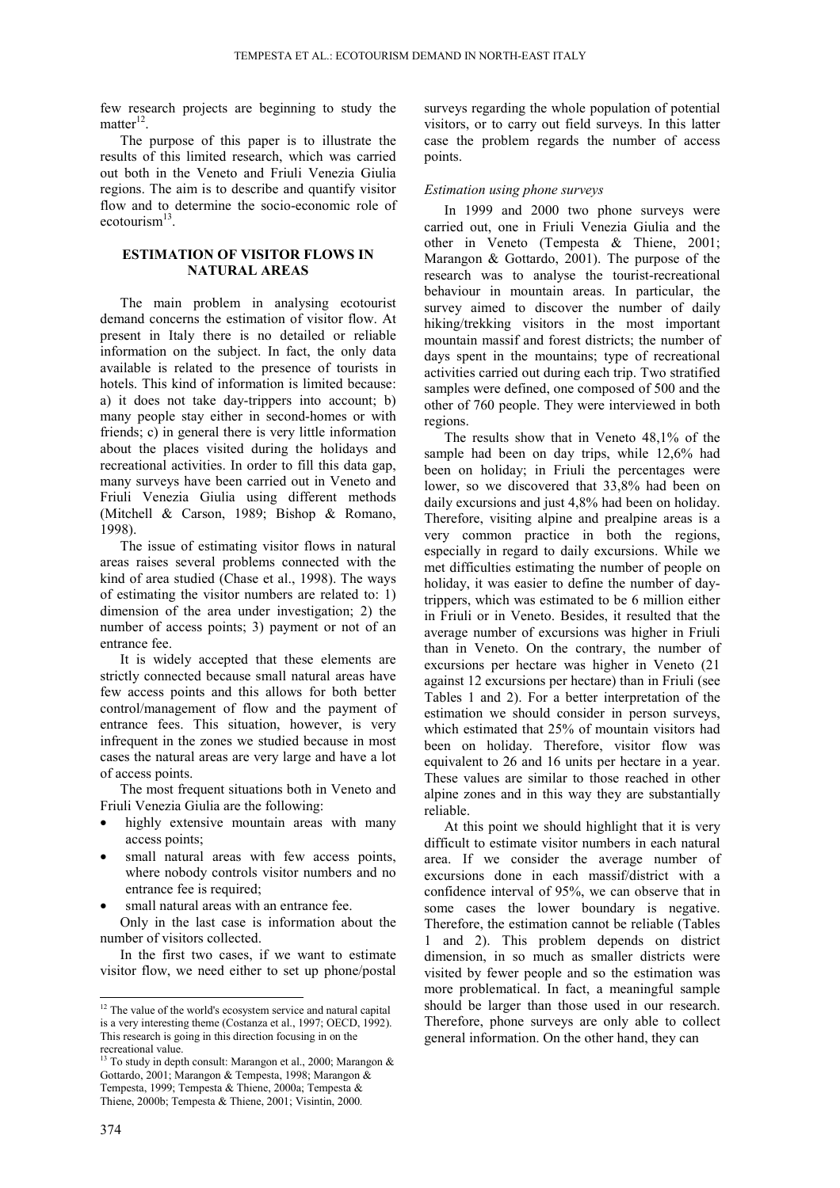few research projects are beginning to study the matter $12$ .

The purpose of this paper is to illustrate the results of this limited research, which was carried out both in the Veneto and Friuli Venezia Giulia regions. The aim is to describe and quantify visitor flow and to determine the socio-economic role of ecotourism<sup>13</sup>

## **ESTIMATION OF VISITOR FLOWS IN NATURAL AREAS**

The main problem in analysing ecotourist demand concerns the estimation of visitor flow. At present in Italy there is no detailed or reliable information on the subject. In fact, the only data available is related to the presence of tourists in hotels. This kind of information is limited because: a) it does not take day-trippers into account; b) many people stay either in second-homes or with friends; c) in general there is very little information about the places visited during the holidays and recreational activities. In order to fill this data gap, many surveys have been carried out in Veneto and Friuli Venezia Giulia using different methods (Mitchell & Carson, 1989; Bishop & Romano, 1998).

The issue of estimating visitor flows in natural areas raises several problems connected with the kind of area studied (Chase et al., 1998). The ways of estimating the visitor numbers are related to: 1) dimension of the area under investigation; 2) the number of access points; 3) payment or not of an entrance fee.

It is widely accepted that these elements are strictly connected because small natural areas have few access points and this allows for both better control/management of flow and the payment of entrance fees. This situation, however, is very infrequent in the zones we studied because in most cases the natural areas are very large and have a lot of access points.

The most frequent situations both in Veneto and Friuli Venezia Giulia are the following:

- highly extensive mountain areas with many access points;
- small natural areas with few access points, where nobody controls visitor numbers and no entrance fee is required;
- small natural areas with an entrance fee.
- Only in the last case is information about the number of visitors collected.

In the first two cases, if we want to estimate visitor flow, we need either to set up phone/postal surveys regarding the whole population of potential visitors, or to carry out field surveys. In this latter case the problem regards the number of access points.

#### *Estimation using phone surveys*

In 1999 and 2000 two phone surveys were carried out, one in Friuli Venezia Giulia and the other in Veneto (Tempesta & Thiene, 2001; Marangon & Gottardo, 2001). The purpose of the research was to analyse the tourist-recreational behaviour in mountain areas. In particular, the survey aimed to discover the number of daily hiking/trekking visitors in the most important mountain massif and forest districts; the number of days spent in the mountains; type of recreational activities carried out during each trip. Two stratified samples were defined, one composed of 500 and the other of 760 people. They were interviewed in both regions.

The results show that in Veneto 48,1% of the sample had been on day trips, while 12,6% had been on holiday; in Friuli the percentages were lower, so we discovered that 33,8% had been on daily excursions and just 4,8% had been on holiday. Therefore, visiting alpine and prealpine areas is a very common practice in both the regions, especially in regard to daily excursions. While we met difficulties estimating the number of people on holiday, it was easier to define the number of daytrippers, which was estimated to be 6 million either in Friuli or in Veneto. Besides, it resulted that the average number of excursions was higher in Friuli than in Veneto. On the contrary, the number of excursions per hectare was higher in Veneto (21 against 12 excursions per hectare) than in Friuli (see Tables 1 and 2). For a better interpretation of the estimation we should consider in person surveys, which estimated that 25% of mountain visitors had been on holiday. Therefore, visitor flow was equivalent to 26 and 16 units per hectare in a year. These values are similar to those reached in other alpine zones and in this way they are substantially reliable.

At this point we should highlight that it is very difficult to estimate visitor numbers in each natural area. If we consider the average number of excursions done in each massif/district with a confidence interval of 95%, we can observe that in some cases the lower boundary is negative. Therefore, the estimation cannot be reliable (Tables 1 and 2). This problem depends on district dimension, in so much as smaller districts were visited by fewer people and so the estimation was more problematical. In fact, a meaningful sample should be larger than those used in our research. Therefore, phone surveys are only able to collect general information. On the other hand, they can

 $\overline{a}$ 

 $12$  The value of the world's ecosystem service and natural capital is a very interesting theme (Costanza et al., 1997; OECD, 1992). This research is going in this direction focusing in on the recreational value.

<sup>&</sup>lt;sup>13</sup> To study in depth consult: Marangon et al., 2000; Marangon & Gottardo, 2001; Marangon & Tempesta, 1998; Marangon & Tempesta, 1999; Tempesta & Thiene, 2000a; Tempesta & Thiene, 2000b; Tempesta & Thiene, 2001; Visintin, 2000*.*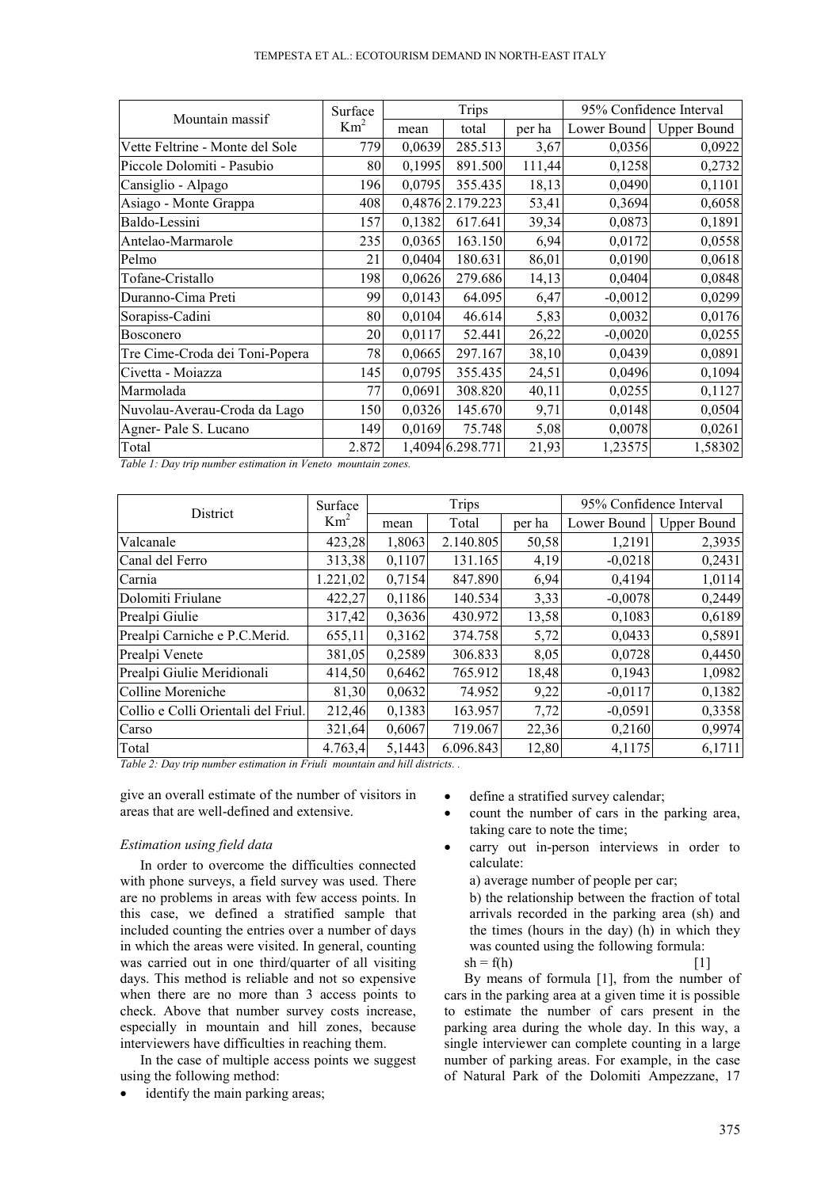|  | TEMPESTA ET AL.: ECOTOURISM DEMAND IN NORTH-EAST ITALY |  |  |
|--|--------------------------------------------------------|--|--|
|--|--------------------------------------------------------|--|--|

| Mountain massif                 | Surface         |        | <b>Trips</b>     |        | 95% Confidence Interval |                    |  |
|---------------------------------|-----------------|--------|------------------|--------|-------------------------|--------------------|--|
|                                 | Km <sup>2</sup> | mean   | total            | per ha | Lower Bound             | <b>Upper Bound</b> |  |
| Vette Feltrine - Monte del Sole | 779             | 0,0639 | 285.513          | 3,67   | 0,0356                  | 0,0922             |  |
| Piccole Dolomiti - Pasubio      | 80              | 0,1995 | 891.500          | 111,44 | 0,1258                  | 0,2732             |  |
| Cansiglio - Alpago              | 196             | 0,0795 | 355.435          | 18,13  | 0,0490                  | 0,1101             |  |
| Asiago - Monte Grappa           | 408             |        | 0,4876 2.179.223 | 53,41  | 0,3694                  | 0,6058             |  |
| Baldo-Lessini                   | 157             | 0,1382 | 617.641          | 39,34  | 0,0873                  | 0,1891             |  |
| Antelao-Marmarole               | 235             | 0,0365 | 163.150          | 6,94   | 0,0172                  | 0,0558             |  |
| Pelmo                           | 21              | 0,0404 | 180.631          | 86,01  | 0,0190                  | 0,0618             |  |
| Tofane-Cristallo                | 198             | 0,0626 | 279.686          | 14,13  | 0,0404                  | 0,0848             |  |
| Duranno-Cima Preti              | 99              | 0,0143 | 64.095           | 6,47   | $-0,0012$               | 0,0299             |  |
| Sorapiss-Cadini                 | 80              | 0,0104 | 46.614           | 5,83   | 0,0032                  | 0,0176             |  |
| <b>Bosconero</b>                | 20              | 0,0117 | 52.441           | 26,22  | $-0,0020$               | 0,0255             |  |
| Tre Cime-Croda dei Toni-Popera  | 78              | 0,0665 | 297.167          | 38,10  | 0,0439                  | 0,0891             |  |
| Civetta - Moiazza               | 145             | 0,0795 | 355.435          | 24,51  | 0,0496                  | 0,1094             |  |
| Marmolada                       | 77              | 0,0691 | 308.820          | 40,11  | 0,0255                  | 0,1127             |  |
| Nuvolau-Averau-Croda da Lago    | 150             | 0,0326 | 145.670          | 9,71   | 0,0148                  | 0,0504             |  |
| Agner-Pale S. Lucano            | 149             | 0,0169 | 75.748           | 5,08   | 0,0078                  | 0,0261             |  |
| Total                           | 2.872           |        | 1,4094 6.298.771 | 21,93  | 1,23575                 | 1,58302            |  |

*Table 1: Day trip number estimation in Veneto mountain zones.*

| District                            | Surface         | <b>Trips</b> |           |        |             | 95% Confidence Interval |  |  |
|-------------------------------------|-----------------|--------------|-----------|--------|-------------|-------------------------|--|--|
|                                     | Km <sup>2</sup> | mean         | Total     | per ha | Lower Bound | <b>Upper Bound</b>      |  |  |
| Valcanale                           | 423,28          | 1,8063       | 2.140.805 | 50,58  | 1,2191      | 2,3935                  |  |  |
| Canal del Ferro                     | 313,38          | 0,1107       | 131.165   | 4,19   | $-0,0218$   | 0,2431                  |  |  |
| Carnia                              | 1.221,02        | 0,7154       | 847.890   | 6,94   | 0,4194      | 1,0114                  |  |  |
| Dolomiti Friulane                   | 422,27          | 0,1186       | 140.534   | 3,33   | $-0,0078$   | 0,2449                  |  |  |
| Prealpi Giulie                      | 317,42          | 0,3636       | 430.972   | 13,58  | 0,1083      | 0,6189                  |  |  |
| Prealpi Carniche e P.C.Merid.       | 655,11          | 0,3162       | 374.758   | 5,72   | 0,0433      | 0,5891                  |  |  |
| Prealpi Venete                      | 381,05          | 0,2589       | 306.833   | 8,05   | 0,0728      | 0,4450                  |  |  |
| Prealpi Giulie Meridionali          | 414,50          | 0,6462       | 765.912   | 18,48  | 0,1943      | 1,0982                  |  |  |
| Colline Moreniche                   | 81,30           | 0,0632       | 74.952    | 9,22   | $-0,0117$   | 0,1382                  |  |  |
| Collio e Colli Orientali del Friul. | 212,46          | 0,1383       | 163.957   | 7,72   | $-0,0591$   | 0,3358                  |  |  |
| Carso                               | 321,64          | 0,6067       | 719.067   | 22,36  | 0,2160      | 0,9974                  |  |  |
| Total                               | 4.763,4         | 5,1443       | 6.096.843 | 12,80  | 4,1175      | 6,1711                  |  |  |

*Table 2: Day trip number estimation in Friuli mountain and hill districts. .*

give an overall estimate of the number of visitors in areas that are well-defined and extensive.

### *Estimation using field data*

In order to overcome the difficulties connected with phone surveys, a field survey was used. There are no problems in areas with few access points. In this case, we defined a stratified sample that included counting the entries over a number of days in which the areas were visited. In general, counting was carried out in one third/quarter of all visiting days. This method is reliable and not so expensive when there are no more than 3 access points to check. Above that number survey costs increase, especially in mountain and hill zones, because interviewers have difficulties in reaching them.

In the case of multiple access points we suggest using the following method:

• identify the main parking areas;

- define a stratified survey calendar;
- count the number of cars in the parking area, taking care to note the time;
- carry out in-person interviews in order to calculate:

a) average number of people per car; b) the relationship between the fraction of total arrivals recorded in the parking area (sh) and the times (hours in the day) (h) in which they

was counted using the following formula:

 $sh = f(h)$  [1] By means of formula [1], from the number of cars in the parking area at a given time it is possible to estimate the number of cars present in the parking area during the whole day. In this way, a single interviewer can complete counting in a large number of parking areas. For example, in the case of Natural Park of the Dolomiti Ampezzane, 17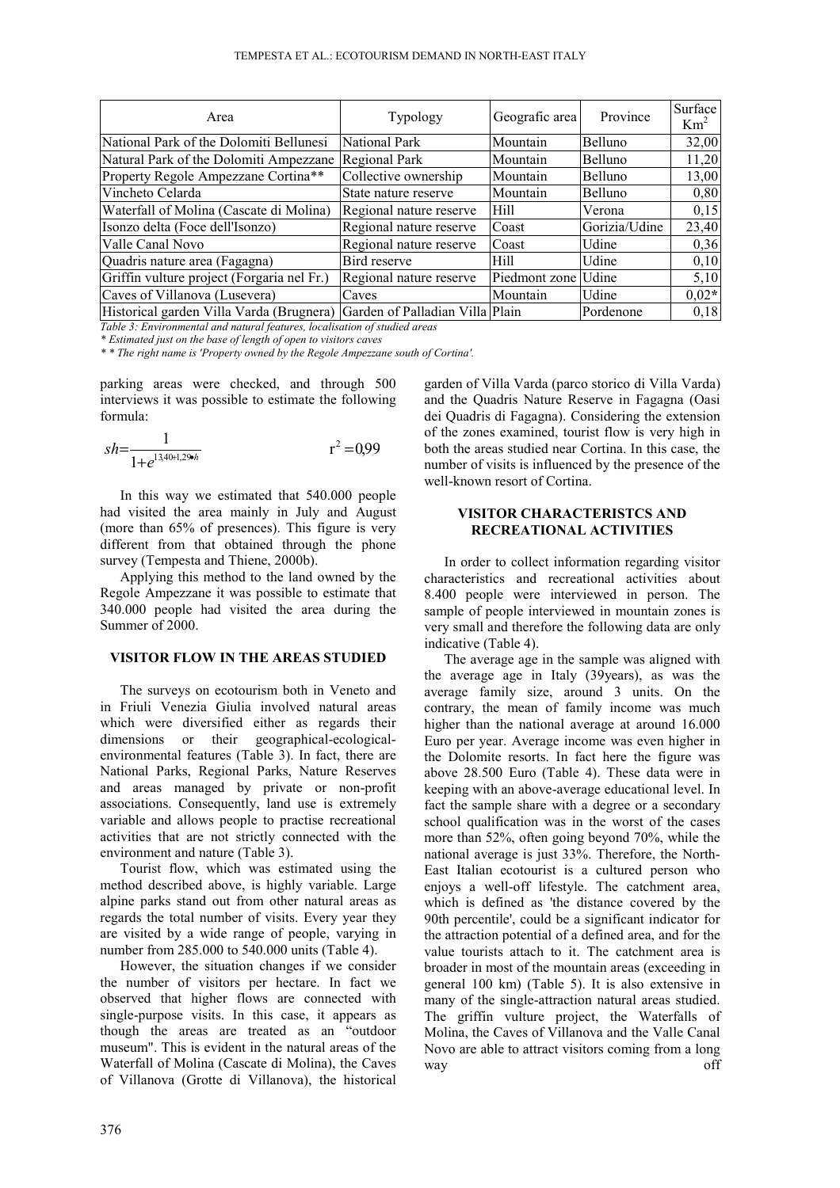| Area                                                                     | Typology                | Geografic area      | Province       | Surface<br>Km <sup>2</sup> |
|--------------------------------------------------------------------------|-------------------------|---------------------|----------------|----------------------------|
| National Park of the Dolomiti Bellunesi                                  | National Park           | Mountain            | Belluno        | 32,00                      |
| Natural Park of the Dolomiti Ampezzane                                   | Regional Park           | Mountain            | <b>Belluno</b> | 11,20                      |
| Property Regole Ampezzane Cortina**                                      | Collective ownership    | Mountain            | Belluno        | 13,00                      |
| Vincheto Celarda                                                         | State nature reserve    | Mountain            | Belluno        | 0,80                       |
| Waterfall of Molina (Cascate di Molina)                                  | Regional nature reserve | Hill                | Verona         | 0,15                       |
| Isonzo delta (Foce dell'Isonzo)                                          | Regional nature reserve | Coast               | Gorizia/Udine  | 23,40                      |
| Valle Canal Novo                                                         | Regional nature reserve | Coast               | Udine          | 0,36                       |
| Quadris nature area (Fagagna)                                            | Bird reserve            | Hill                | Udine          | 0,10                       |
| Griffin vulture project (Forgaria nel Fr.)                               | Regional nature reserve | Piedmont zone Udine |                | 5,10                       |
| Caves of Villanova (Lusevera)                                            | Caves                   | Mountain            | Udine          | $0,02*$                    |
| Historical garden Villa Varda (Brugnera) Garden of Palladian Villa Plain |                         |                     | Pordenone      | 0,18                       |

*Table 3: Environmental and natural features, localisation of studied areas*

*\* Estimated just on the base of length of open to visitors caves*

*\* \* The right name is 'Property owned by the Regole Ampezzane south of Cortina'.*

parking areas were checked, and through 500 interviews it was possible to estimate the following formula:

$$
sh = \frac{1}{1 + e^{13.40 + 1.296h}} \qquad \qquad r^2 = 0.99
$$

In this way we estimated that 540.000 people had visited the area mainly in July and August (more than 65% of presences). This figure is very different from that obtained through the phone survey (Tempesta and Thiene, 2000b).

Applying this method to the land owned by the Regole Ampezzane it was possible to estimate that 340.000 people had visited the area during the Summer of 2000.

## **VISITOR FLOW IN THE AREAS STUDIED**

The surveys on ecotourism both in Veneto and in Friuli Venezia Giulia involved natural areas which were diversified either as regards their dimensions or their geographical-ecologicalenvironmental features (Table 3). In fact, there are National Parks, Regional Parks, Nature Reserves and areas managed by private or non-profit associations. Consequently, land use is extremely variable and allows people to practise recreational activities that are not strictly connected with the environment and nature (Table 3).

Tourist flow, which was estimated using the method described above, is highly variable. Large alpine parks stand out from other natural areas as regards the total number of visits. Every year they are visited by a wide range of people, varying in number from 285.000 to 540.000 units (Table 4).

However, the situation changes if we consider the number of visitors per hectare. In fact we observed that higher flows are connected with single-purpose visits. In this case, it appears as though the areas are treated as an "outdoor museum". This is evident in the natural areas of the Waterfall of Molina (Cascate di Molina), the Caves of Villanova (Grotte di Villanova), the historical garden of Villa Varda (parco storico di Villa Varda) and the Quadris Nature Reserve in Fagagna (Oasi dei Quadris di Fagagna). Considering the extension of the zones examined, tourist flow is very high in both the areas studied near Cortina. In this case, the number of visits is influenced by the presence of the well-known resort of Cortina.

#### **VISITOR CHARACTERISTCS AND RECREATIONAL ACTIVITIES**

In order to collect information regarding visitor characteristics and recreational activities about 8.400 people were interviewed in person. The sample of people interviewed in mountain zones is very small and therefore the following data are only indicative (Table 4).

The average age in the sample was aligned with the average age in Italy (39years), as was the average family size, around 3 units. On the contrary, the mean of family income was much higher than the national average at around 16.000 Euro per year. Average income was even higher in the Dolomite resorts. In fact here the figure was above 28.500 Euro (Table 4). These data were in keeping with an above-average educational level. In fact the sample share with a degree or a secondary school qualification was in the worst of the cases more than 52%, often going beyond 70%, while the national average is just 33%. Therefore, the North-East Italian ecotourist is a cultured person who enjoys a well-off lifestyle. The catchment area, which is defined as 'the distance covered by the 90th percentile', could be a significant indicator for the attraction potential of a defined area, and for the value tourists attach to it. The catchment area is broader in most of the mountain areas (exceeding in general 100 km) (Table 5). It is also extensive in many of the single-attraction natural areas studied. The griffin vulture project, the Waterfalls of Molina, the Caves of Villanova and the Valle Canal Novo are able to attract visitors coming from a long way off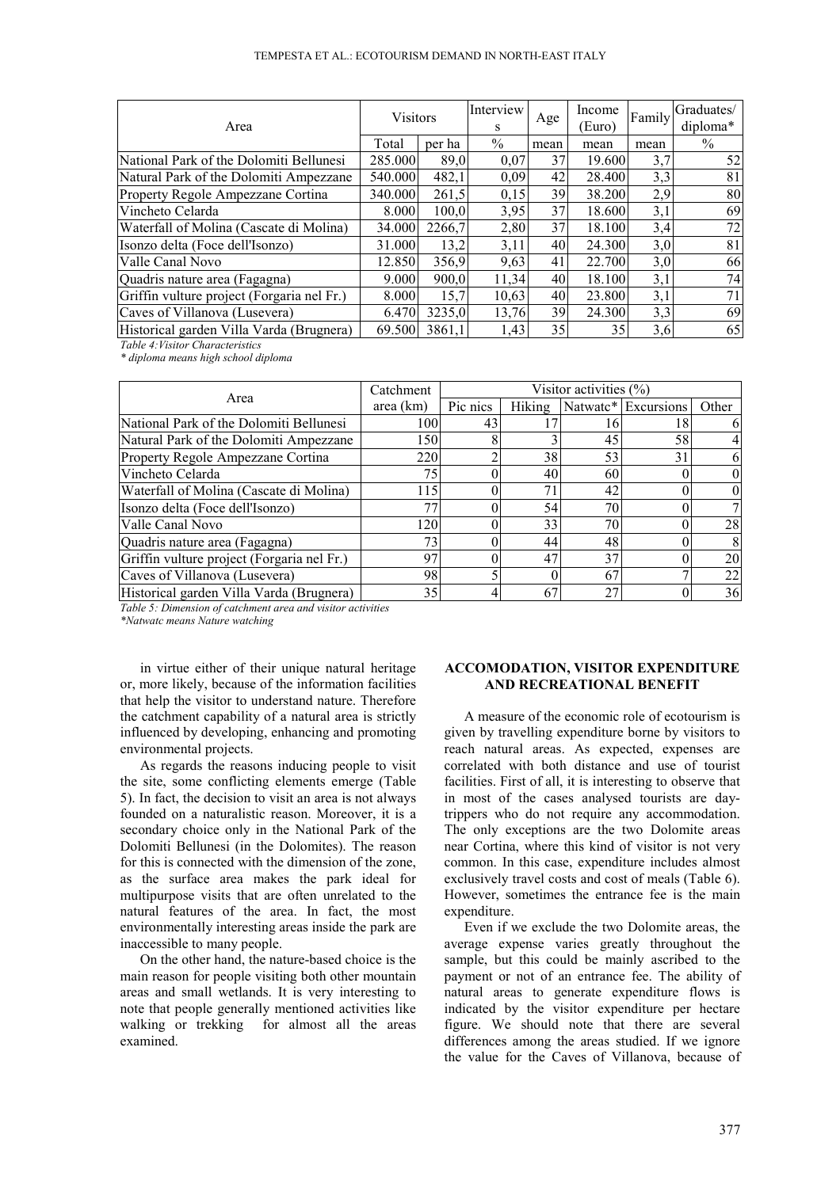#### TEMPESTA ET AL.: ECOTOURISM DEMAND IN NORTH-EAST ITALY

| Area                                       | <b>Visitors</b> |        | Interview<br>S | Age  | Income<br>Euro) | Family | Graduates/<br>diploma* |
|--------------------------------------------|-----------------|--------|----------------|------|-----------------|--------|------------------------|
|                                            | Total           | per ha | $\frac{0}{0}$  | mean | mean            | mean   | $\%$                   |
| National Park of the Dolomiti Bellunesi    | 285.000         | 89,0   | 0,07           | 37   | 19.600          | 3,7    | 52                     |
| Natural Park of the Dolomiti Ampezzane     | 540.000         | 482,1  | 0,09           | 42   | 28.400          | 3,3    | 81                     |
| Property Regole Ampezzane Cortina          | 340.000         | 261,5  | 0,15           | 39   | 38.200          | 2,9    | 80                     |
| Vincheto Celarda                           | 8.000           | 100.0  | 3,95           | 37   | 18.600          | 3,1    | 69                     |
| Waterfall of Molina (Cascate di Molina)    | 34.000          | 2266.7 | 2,80           | 37   | 18.100          | 3,4    | 72                     |
| Isonzo delta (Foce dell'Isonzo)            | 31.000          | 13,2   | 3,11           | 40   | 24.300          | 3,0    | 81                     |
| Valle Canal Novo                           | 12.850          | 356,9  | 9,63           | 41   | 22.700          | 3,0    | 66                     |
| Quadris nature area (Fagagna)              | 9.000           | 900.0  | 11,34          | 40   | 18.100          | 3,1    | 74                     |
| Griffin vulture project (Forgaria nel Fr.) | 8.000           | 15,7   | 10,63          | 40   | 23.800          | 3,1    | 71                     |
| Caves of Villanova (Lusevera)              | 6.470           | 3235.0 | 13,76          | 39   | 24.300          | 3,3    | 69                     |
| Historical garden Villa Varda (Brugnera)   | 69.500          | 3861.1 | 1.43           | 35   | 35              | 3,6    | 65                     |

*Table 4:Visitor Characteristics*

*\* diploma means high school diploma*

|                                            | Catchment | Visitor activities $(\%)$ |        |    |                     |          |  |  |
|--------------------------------------------|-----------|---------------------------|--------|----|---------------------|----------|--|--|
| Area                                       | area (km) | Pic nics                  | Hiking |    | Natwatc* Excursions | Other    |  |  |
| National Park of the Dolomiti Bellunesi    | 100       | 43                        |        |    | 18                  | 6        |  |  |
| Natural Park of the Dolomiti Ampezzane     | 1501      |                           |        | 45 | 58                  | 4        |  |  |
| Property Regole Ampezzane Cortina          | 220       |                           | 38     | 53 | 31                  | 6        |  |  |
| Vincheto Celarda                           | 75        |                           | 40     | 60 |                     | $\theta$ |  |  |
| Waterfall of Molina (Cascate di Molina)    | 115       |                           | 71     | 42 |                     | $\theta$ |  |  |
| Isonzo delta (Foce dell'Isonzo)            | 77        |                           | 54     | 70 |                     | 7        |  |  |
| Valle Canal Novo                           | 120       |                           | 33     | 70 |                     | 28       |  |  |
| Quadris nature area (Fagagna)              | 73        |                           | 44     | 48 |                     | 8        |  |  |
| Griffin vulture project (Forgaria nel Fr.) | 97        |                           | 47     | 37 |                     | 20       |  |  |
| Caves of Villanova (Lusevera)              | 98        |                           |        | 67 |                     | 22       |  |  |
| Historical garden Villa Varda (Brugnera)   | 35        |                           | 67     | 27 |                     | 36       |  |  |

*Table 5: Dimension of catchment area and visitor activities*

*\*Natwatc means Nature watching*

in virtue either of their unique natural heritage or, more likely, because of the information facilities that help the visitor to understand nature. Therefore the catchment capability of a natural area is strictly influenced by developing, enhancing and promoting environmental projects.

As regards the reasons inducing people to visit the site, some conflicting elements emerge (Table 5). In fact, the decision to visit an area is not always founded on a naturalistic reason. Moreover, it is a secondary choice only in the National Park of the Dolomiti Bellunesi (in the Dolomites). The reason for this is connected with the dimension of the zone, as the surface area makes the park ideal for multipurpose visits that are often unrelated to the natural features of the area. In fact, the most environmentally interesting areas inside the park are inaccessible to many people.

On the other hand, the nature-based choice is the main reason for people visiting both other mountain areas and small wetlands. It is very interesting to note that people generally mentioned activities like walking or trekking for almost all the areas examined.

# **ACCOMODATION, VISITOR EXPENDITURE AND RECREATIONAL BENEFIT**

A measure of the economic role of ecotourism is given by travelling expenditure borne by visitors to reach natural areas. As expected, expenses are correlated with both distance and use of tourist facilities. First of all, it is interesting to observe that in most of the cases analysed tourists are daytrippers who do not require any accommodation. The only exceptions are the two Dolomite areas near Cortina, where this kind of visitor is not very common. In this case, expenditure includes almost exclusively travel costs and cost of meals (Table 6). However, sometimes the entrance fee is the main expenditure.

Even if we exclude the two Dolomite areas, the average expense varies greatly throughout the sample, but this could be mainly ascribed to the payment or not of an entrance fee. The ability of natural areas to generate expenditure flows is indicated by the visitor expenditure per hectare figure. We should note that there are several differences among the areas studied. If we ignore the value for the Caves of Villanova, because of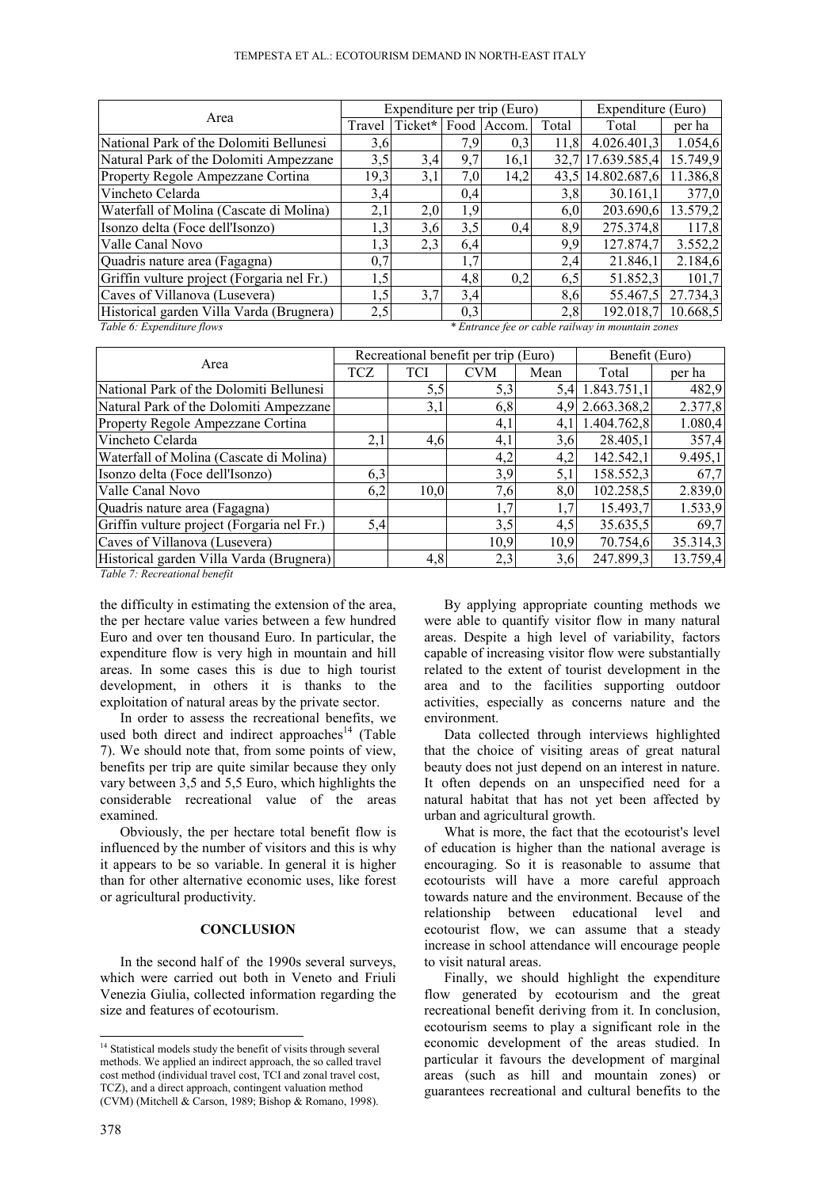|                                            |                                                   | Expenditure per trip (Euro) | Expenditure (Euro) |             |       |              |          |
|--------------------------------------------|---------------------------------------------------|-----------------------------|--------------------|-------------|-------|--------------|----------|
| Area                                       | Travel                                            | Ticket*                     |                    | Food Accom. | Total | Total        | per ha   |
| National Park of the Dolomiti Bellunesi    | 3,6                                               |                             | 7,9                | 0,3         | 11.8  | 4.026.401,3  | 1.054,6  |
| Natural Park of the Dolomiti Ampezzane     | 3,5                                               | 3,4                         | 9,7                | 16,1        | 32.7  | 17.639.585,4 | 15.749,9 |
| Property Regole Ampezzane Cortina          | 19,3                                              | 3,1                         | 7,0                | 14,2        | 43.5  | 14.802.687,6 | 11.386,8 |
| Vincheto Celarda                           | 3,4                                               |                             | 0,4                |             | 3,8   | 30.161.1     | 377,0    |
| Waterfall of Molina (Cascate di Molina)    | 2,1                                               | 2,0                         | 1,9                |             | 6,0   | 203.690,6    | 13.579,2 |
| Isonzo delta (Foce dell'Isonzo)            | 1,3                                               | 3,6                         | 3,5                | 0.4         | 8,9   | 275.374,8    | 117,8    |
| Valle Canal Novo                           | 1,3                                               | 2,3                         | 6,4                |             | 9,9   | 127.874,7    | 3.552,2  |
| Quadris nature area (Fagagna)              | 0,7                                               |                             | 1,7                |             | 2,4   | 21.846.1     | 2.184,6  |
| Griffin vulture project (Forgaria nel Fr.) | 1,5                                               |                             | 4,8                | 0,2         | 6,5   | 51.852,3     | 101,7    |
| Caves of Villanova (Lusevera)              | 1,5                                               | 3,7                         | 3,4                |             | 8,6   | 55.467,5     | 27.734,3 |
| Historical garden Villa Varda (Brugnera)   | 2,5                                               |                             | 0.3                |             | 2.8   | 192.018.7    | 10.668,5 |
| Table 6: Expenditure flows                 | * Entrance fee or cable railway in mountain zones |                             |                    |             |       |              |          |

| Area                                       | Recreational benefit per trip (Euro)<br>Benefit (Euro) |      |            |      |                 |          |
|--------------------------------------------|--------------------------------------------------------|------|------------|------|-----------------|----------|
|                                            | TCZ                                                    | TCI  | <b>CVM</b> | Mean | Total           | per ha   |
| National Park of the Dolomiti Bellunesi    |                                                        | 5,5  | 5,3        | 5.4  | 1.843.751,1     | 482,9    |
| Natural Park of the Dolomiti Ampezzane     |                                                        | 3,1  | 6,8        |      | 4,9 2.663.368,2 | 2.377,8  |
| Property Regole Ampezzane Cortina          |                                                        |      | 4,1        | 4.1  | 1.404.762,8     | 1.080,4  |
| Vincheto Celarda                           | 2,1                                                    | 4,6  | 4,1        | 3,6  | 28.405,1        | 357,4    |
| Waterfall of Molina (Cascate di Molina)    |                                                        |      | 4,2        | 4,2  | 142.542,1       | 9.495,1  |
| Isonzo delta (Foce dell'Isonzo)            | 6,3                                                    |      | 3,9        | 5,1  | 158.552,3       | 67,7     |
| Valle Canal Novo                           | 6,2                                                    | 10,0 | 7,6        | 8,0  | 102.258,5       | 2.839,0  |
| Quadris nature area (Fagagna)              |                                                        |      | 1,7        | 1,7  | 15.493,7        | 1.533,9  |
| Griffin vulture project (Forgaria nel Fr.) | 5,4                                                    |      | 3,5        | 4,5  | 35.635,5        | 69,7     |
| Caves of Villanova (Lusevera)              |                                                        |      | 10,9       | 10,9 | 70.754,6        | 35.314,3 |
| Historical garden Villa Varda (Brugnera)   |                                                        | 4,8  | 2,3        | 3,6  | 247.899,3       | 13.759,4 |

*Table 7: Recreational benefit*

the difficulty in estimating the extension of the area, the per hectare value varies between a few hundred Euro and over ten thousand Euro. In particular, the expenditure flow is very high in mountain and hill areas. In some cases this is due to high tourist development, in others it is thanks to the exploitation of natural areas by the private sector.

In order to assess the recreational benefits, we used both direct and indirect approaches<sup>14</sup> (Table 7). We should note that, from some points of view, benefits per trip are quite similar because they only vary between 3,5 and 5,5 Euro, which highlights the considerable recreational value of the areas examined.

Obviously, the per hectare total benefit flow is influenced by the number of visitors and this is why it appears to be so variable. In general it is higher than for other alternative economic uses, like forest or agricultural productivity.

#### **CONCLUSION**

In the second half of the 1990s several surveys, which were carried out both in Veneto and Friuli Venezia Giulia, collected information regarding the size and features of ecotourism.

By applying appropriate counting methods we were able to quantify visitor flow in many natural areas. Despite a high level of variability, factors capable of increasing visitor flow were substantially related to the extent of tourist development in the area and to the facilities supporting outdoor activities, especially as concerns nature and the environment.

Data collected through interviews highlighted that the choice of visiting areas of great natural beauty does not just depend on an interest in nature. It often depends on an unspecified need for a natural habitat that has not yet been affected by urban and agricultural growth.

What is more, the fact that the ecotourist's level of education is higher than the national average is encouraging. So it is reasonable to assume that ecotourists will have a more careful approach towards nature and the environment. Because of the relationship between educational level and ecotourist flow, we can assume that a steady increase in school attendance will encourage people to visit natural areas.

Finally, we should highlight the expenditure flow generated by ecotourism and the great recreational benefit deriving from it. In conclusion, ecotourism seems to play a significant role in the economic development of the areas studied. In particular it favours the development of marginal areas (such as hill and mountain zones) or guarantees recreational and cultural benefits to the

 $\overline{a}$ 

<sup>&</sup>lt;sup>14</sup> Statistical models study the benefit of visits through several methods. We applied an indirect approach, the so called travel cost method (individual travel cost, TCI and zonal travel cost, TCZ), and a direct approach, contingent valuation method (CVM) (Mitchell & Carson, 1989; Bishop & Romano, 1998).